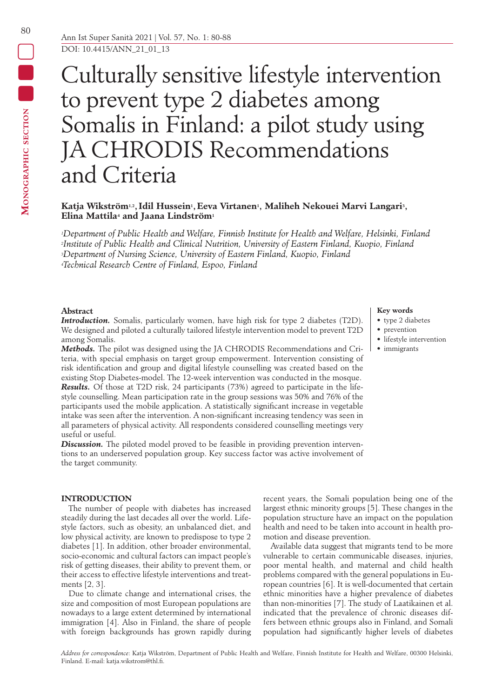# Culturally sensitive lifestyle intervention to prevent type 2 diabetes among Somalis in Finland: a pilot study using JA CHRODIS Recommendations and Criteria

## **Katja Wikström1,2, Idil Hussein1,Eeva Virtanen1, Maliheh Nekouei Marvi Langari3, Elina Mattila4 and Jaana Lindström1**

*1Department of Public Health and Welfare, Finnish Institute for Health and Welfare, Helsinki, Finland 2Institute of Public Health and Clinical Nutrition, University of Eastern Finland, Kuopio, Finland 3Department of Nursing Science, University of Eastern Finland, Kuopio, Finland 4Technical Research Centre of Finland, Espoo, Finland*

## **Abstract**

*Introduction.* Somalis, particularly women, have high risk for type 2 diabetes (T2D). We designed and piloted a culturally tailored lifestyle intervention model to prevent T2D among Somalis.

*Methods.* The pilot was designed using the JA CHRODIS Recommendations and Criteria, with special emphasis on target group empowerment. Intervention consisting of risk identification and group and digital lifestyle counselling was created based on the existing Stop Diabetes-model. The 12-week intervention was conducted in the mosque. *Results.* Of those at T2D risk, 24 participants (73%) agreed to participate in the lifestyle counselling. Mean participation rate in the group sessions was 50% and 76% of the participants used the mobile application. A statistically significant increase in vegetable intake was seen after the intervention. A non-significant increasing tendency was seen in all parameters of physical activity. All respondents considered counselling meetings very useful or useful.

**Discussion.** The piloted model proved to be feasible in providing prevention interventions to an underserved population group. Key success factor was active involvement of the target community.

## **INTRODUCTION**

The number of people with diabetes has increased steadily during the last decades all over the world. Lifestyle factors, such as obesity, an unbalanced diet, and low physical activity, are known to predispose to type 2 diabetes [1]. In addition, other broader environmental, socio-economic and cultural factors can impact people's risk of getting diseases, their ability to prevent them, or their access to effective lifestyle interventions and treatments [2, 3].

Due to climate change and international crises, the size and composition of most European populations are nowadays to a large extent determined by international immigration [4]. Also in Finland, the share of people with foreign backgrounds has grown rapidly during recent years, the Somali population being one of the largest ethnic minority groups [5]. These changes in the population structure have an impact on the population health and need to be taken into account in health promotion and disease prevention.

Available data suggest that migrants tend to be more vulnerable to certain communicable diseases, injuries, poor mental health, and maternal and child health problems compared with the general populations in European countries [6]. It is well-documented that certain ethnic minorities have a higher prevalence of diabetes than non-minorities [7]. The study of Laatikainen et al. indicated that the prevalence of chronic diseases differs between ethnic groups also in Finland, and Somali population had significantly higher levels of diabetes

# • prevention

**Key words** • type 2 diabetes

- lifestyle intervention
- immigrants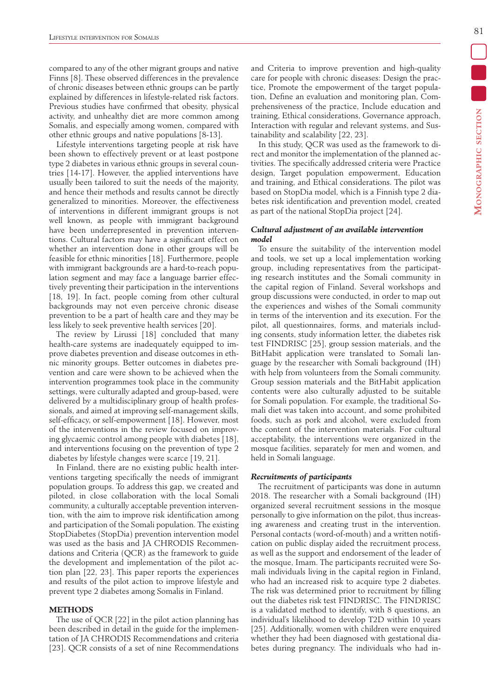compared to any of the other migrant groups and native Finns [8]. These observed differences in the prevalence of chronic diseases between ethnic groups can be partly explained by differences in lifestyle-related risk factors. Previous studies have confirmed that obesity, physical activity, and unhealthy diet are more common among Somalis, and especially among women, compared with other ethnic groups and native populations [8-13].

Lifestyle interventions targeting people at risk have been shown to effectively prevent or at least postpone type 2 diabetes in various ethnic groups in several countries [14-17]. However, the applied interventions have usually been tailored to suit the needs of the majority, and hence their methods and results cannot be directly generalized to minorities. Moreover, the effectiveness of interventions in different immigrant groups is not well known, as people with immigrant background have been underrepresented in prevention interventions. Cultural factors may have a significant effect on whether an intervention done in other groups will be feasible for ethnic minorities [18]. Furthermore, people with immigrant backgrounds are a hard-to-reach population segment and may face a language barrier effectively preventing their participation in the interventions [18, 19]. In fact, people coming from other cultural backgrounds may not even perceive chronic disease prevention to be a part of health care and they may be less likely to seek preventive health services [20].

The review by Lirussi [18] concluded that many health-care systems are inadequately equipped to improve diabetes prevention and disease outcomes in ethnic minority groups. Better outcomes in diabetes prevention and care were shown to be achieved when the intervention programmes took place in the community settings, were culturally adapted and group‐based, were delivered by a multidisciplinary group of health professionals, and aimed at improving self‐management skills, self-efficacy, or self-empowerment [18]. However, most of the interventions in the review focused on improving glycaemic control among people with diabetes [18], and interventions focusing on the prevention of type 2 diabetes by lifestyle changes were scarce [19, 21].

In Finland, there are no existing public health interventions targeting specifically the needs of immigrant population groups. To address this gap, we created and piloted, in close collaboration with the local Somali community, a culturally acceptable prevention intervention, with the aim to improve risk identification among and participation of the Somali population. The existing StopDiabetes (StopDia) prevention intervention model was used as the basis and JA CHRODIS Recommendations and Criteria (QCR) as the framework to guide the development and implementation of the pilot action plan [22, 23]. This paper reports the experiences and results of the pilot action to improve lifestyle and prevent type 2 diabetes among Somalis in Finland.

### **METHODS**

The use of QCR [22] in the pilot action planning has been described in detail in the guide for the implementation of JA CHRODIS Recommendations and criteria [23]. QCR consists of a set of nine Recommendations and Criteria to improve prevention and high-quality care for people with chronic diseases: Design the practice, Promote the empowerment of the target population, Define an evaluation and monitoring plan, Comprehensiveness of the practice, Include education and training, Ethical considerations, Governance approach, Interaction with regular and relevant systems, and Sustainability and scalability [22, 23].

In this study, QCR was used as the framework to direct and monitor the implementation of the planned activities. The specifically addressed criteria were Practice design, Target population empowerment, Education and training, and Ethical considerations. The pilot was based on StopDia model, which is a Finnish type 2 diabetes risk identification and prevention model, created as part of the national StopDia project [24].

## *Cultural adjustment of an available intervention model*

To ensure the suitability of the intervention model and tools, we set up a local implementation working group, including representatives from the participating research institutes and the Somali community in the capital region of Finland. Several workshops and group discussions were conducted, in order to map out the experiences and wishes of the Somali community in terms of the intervention and its execution. For the pilot, all questionnaires, forms, and materials including consents, study information letter, the diabetes risk test FINDRISC [25], group session materials, and the BitHabit application were translated to Somali language by the researcher with Somali background (IH) with help from volunteers from the Somali community. Group session materials and the BitHabit application contents were also culturally adjusted to be suitable for Somali population. For example, the traditional Somali diet was taken into account, and some prohibited foods, such as pork and alcohol, were excluded from the content of the intervention materials. For cultural acceptability, the interventions were organized in the mosque facilities, separately for men and women, and held in Somali language.

## *Recruitments of participants*

The recruitment of participants was done in autumn 2018. The researcher with a Somali background (IH) organized several recruitment sessions in the mosque personally to give information on the pilot, thus increasing awareness and creating trust in the intervention. Personal contacts (word-of-mouth) and a written notification on public display aided the recruitment process, as well as the support and endorsement of the leader of the mosque, Imam. The participants recruited were Somali individuals living in the capital region in Finland, who had an increased risk to acquire type 2 diabetes. The risk was determined prior to recruitment by filling out the diabetes risk test FINDRISC. The FINDRISC is a validated method to identify, with 8 questions, an individual's likelihood to develop T2D within 10 years [25]. Additionally, women with children were enquired whether they had been diagnosed with gestational diabetes during pregnancy. The individuals who had in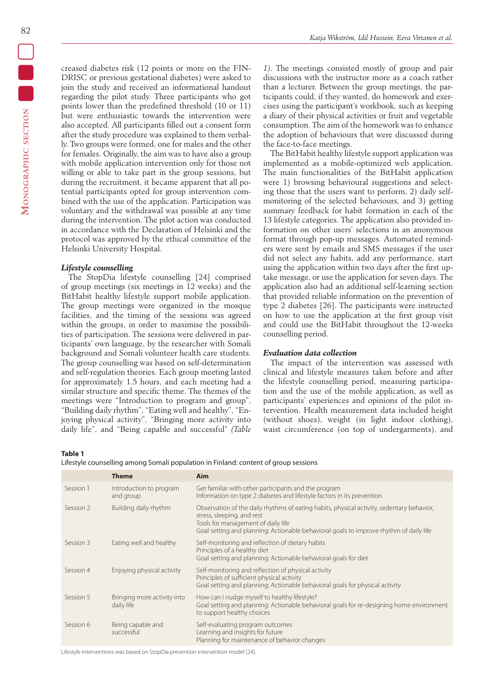creased diabetes risk (12 points or more on the FIN-DRISC or previous gestational diabetes) were asked to join the study and received an informational handout regarding the pilot study. Three participants who got points lower than the predefined threshold (10 or 11) but were enthusiastic towards the intervention were also accepted. All participants filled out a consent form after the study procedure was explained to them verbally. Two groups were formed, one for males and the other for females. Originally, the aim was to have also a group with mobile application intervention only for those not willing or able to take part in the group sessions, but during the recruitment, it became apparent that all potential participants opted for group intervention combined with the use of the application. Participation was voluntary and the withdrawal was possible at any time during the intervention. The pilot action was conducted in accordance with the Declaration of Helsinki and the protocol was approved by the ethical committee of the Helsinki University Hospital.

## *Lifestyle counselling*

The StopDia lifestyle counselling [24] comprised of group meetings (six meetings in 12 weeks) and the BitHabit healthy lifestyle support mobile application. The group meetings were organized in the mosque facilities, and the timing of the sessions was agreed within the groups, in order to maximise the possibilities of participation. The sessions were delivered in participants' own language, by the researcher with Somali background and Somali volunteer health care students. The group counselling was based on self-determination and self-regulation theories. Each group meeting lasted for approximately 1.5 hours, and each meeting had a similar structure and specific theme. The themes of the meetings were "Introduction to program and group", "Building daily rhythm", "Eating well and healthy", "Enjoying physical activity", "Bringing more activity into daily life", and "Being capable and successful" *(Table* 

*1)*. The meetings consisted mostly of group and pair discussions with the instructor more as a coach rather than a lecturer. Between the group meetings, the participants could, if they wanted, do homework and exercises using the participant's workbook, such as keeping a diary of their physical activities or fruit and vegetable consumption. The aim of the homework was to enhance the adoption of behaviours that were discussed during the face-to-face meetings.

The BitHabit healthy lifestyle support application was implemented as a mobile-optimized web application. The main functionalities of the BitHabit application were 1) browsing behavioural suggestions and selecting those that the users want to perform, 2) daily selfmonitoring of the selected behaviours, and 3) getting summary feedback for habit formation in each of the 13 lifestyle categories. The application also provided information on other users' selections in an anonymous format through pop-up messages. Automated reminders were sent by emails and SMS messages if the user did not select any habits, add any performance, start using the application within two days after the first uptake message, or use the application for seven days. The application also had an additional self-learning section that provided reliable information on the prevention of type 2 diabetes [26]. The participants were instructed on how to use the application at the first group visit and could use the BitHabit throughout the 12-weeks counselling period.

## *Evaluation data collection*

The impact of the intervention was assessed with clinical and lifestyle measures taken before and after the lifestyle counselling period, measuring participation and the use of the mobile application, as well as participants' experiences and opinions of the pilot intervention. Health measurement data included height (without shoes), weight (in light indoor clothing), waist circumference (on top of undergarments), and

**Table 1**

Lifestyle counselling among Somali population in Finland: content of group sessions

|           | <b>Theme</b>                              | Aim                                                                                                                                                                                                                                                     |
|-----------|-------------------------------------------|---------------------------------------------------------------------------------------------------------------------------------------------------------------------------------------------------------------------------------------------------------|
| Session 1 | Introduction to program<br>and group      | Get familiar with other participants and the program<br>Information on type 2 diabetes and lifestyle factors in its prevention                                                                                                                          |
| Session 2 | Building daily rhythm                     | Observation of the daily rhythms of eating habits, physical activity, sedentary behavior,<br>stress, sleeping, and rest<br>Tools for management of daily life<br>Goal setting and planning: Actionable behavioral goals to improve rhythm of daily life |
| Session 3 | Eating well and healthy                   | Self-monitoring and reflection of dietary habits<br>Principles of a healthy diet<br>Goal setting and planning: Actionable behavioral goals for diet                                                                                                     |
| Session 4 | Enjoying physical activity                | Self-monitoring and reflection of physical activity<br>Principles of sufficient physical activity<br>Goal setting and planning: Actionable behavioral goals for physical activity                                                                       |
| Session 5 | Bringing more activity into<br>daily life | How can I nudge myself to healthy lifestyle?<br>Goal setting and planning: Actionable behavioral goals for re-designing home environment<br>to support healthy choices                                                                                  |
| Session 6 | Being capable and<br>successful           | Self-evaluating program outcomes<br>Learning and insights for future<br>Planning for maintenance of behavior changes                                                                                                                                    |

Lifestyle interventions was based on StopDia prevention intervention model [24].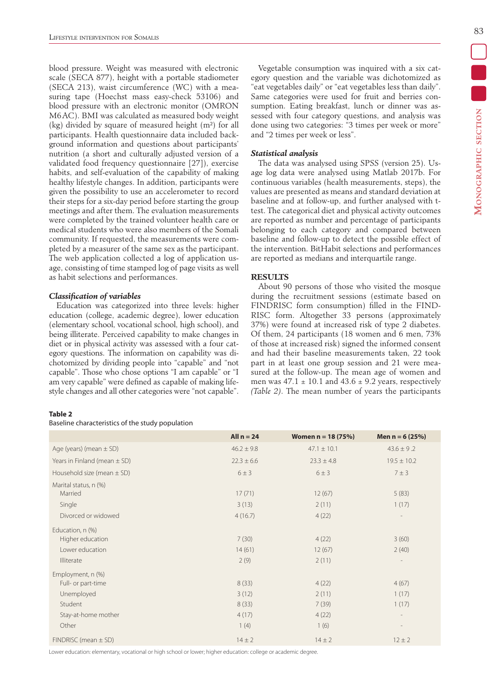blood pressure. Weight was measured with electronic scale (SECA 877), height with a portable stadiometer (SECA 213), waist circumference (WC) with a measuring tape (Hoechst mass easy-check 53106) and blood pressure with an electronic monitor (OMRON M6AC). BMI was calculated as measured body weight (kg) divided by square of measured height (m²) for all participants. Health questionnaire data included background information and questions about participants' nutrition (a short and culturally adjusted version of a validated food frequency questionnaire [27]), exercise habits, and self-evaluation of the capability of making healthy lifestyle changes. In addition, participants were given the possibility to use an accelerometer to record their steps for a six-day period before starting the group meetings and after them. The evaluation measurements were completed by the trained volunteer health care or medical students who were also members of the Somali community. If requested, the measurements were completed by a measurer of the same sex as the participant. The web application collected a log of application usage, consisting of time stamped log of page visits as well as habit selections and performances.

## *Classification of variables*

Education was categorized into three levels: higher education (college, academic degree), lower education (elementary school, vocational school, high school), and being illiterate. Perceived capability to make changes in diet or in physical activity was assessed with a four category questions. The information on capability was dichotomized by dividing people into "capable" and "not capable". Those who chose options "I am capable" or "I am very capable" were defined as capable of making lifestyle changes and all other categories were "not capable".

Vegetable consumption was inquired with a six category question and the variable was dichotomized as "eat vegetables daily" or "eat vegetables less than daily". Same categories were used for fruit and berries consumption. Eating breakfast, lunch or dinner was assessed with four category questions, and analysis was done using two categories: "3 times per week or more" and "2 times per week or less".

## *Statistical analysis*

The data was analysed using SPSS (version 25). Usage log data were analysed using Matlab 2017b. For continuous variables (health measurements, steps), the values are presented as means and standard deviation at baseline and at follow-up, and further analysed with ttest. The categorical diet and physical activity outcomes are reported as number and percentage of participants belonging to each category and compared between baseline and follow-up to detect the possible effect of the intervention. BitHabit selections and performances are reported as medians and interquartile range.

## **RESULTS**

About 90 persons of those who visited the mosque during the recruitment sessions (estimate based on FINDRISC form consumption) filled in the FIND-RISC form. Altogether 33 persons (approximately 37%) were found at increased risk of type 2 diabetes. Of them, 24 participants (18 women and 6 men, 73% of those at increased risk) signed the informed consent and had their baseline measurements taken, 22 took part in at least one group session and 21 were measured at the follow-up. The mean age of women and men was  $47.1 \pm 10.1$  and  $43.6 \pm 9.2$  years, respectively *(Table 2)*. The mean number of years the participants

## **Table 2**

#### Baseline characteristics of the study population

|                                  | All $n = 24$   | Women $n = 18 (75%)$ | Men $n = 6(25%)$         |
|----------------------------------|----------------|----------------------|--------------------------|
| Age (years) (mean $\pm$ SD)      | $46.2 \pm 9.8$ | $47.1 \pm 10.1$      | $43.6 \pm 9.2$           |
| Years in Finland (mean $\pm$ SD) | $22.3 \pm 6.6$ | $23.3 \pm 4.8$       | $19.5 \pm 10.2$          |
| Household size (mean $\pm$ SD)   | $6 \pm 3$      | $6 \pm 3$            | $7 \pm 3$                |
| Marital status, n (%)            |                |                      |                          |
| Married                          | 17(71)         | 12(67)               | 5(83)                    |
| Single                           | 3(13)          | 2(11)                | 1(17)                    |
| Divorced or widowed              | 4(16.7)        | 4(22)                | $\overline{\phantom{a}}$ |
| Education, n (%)                 |                |                      |                          |
| Higher education                 | 7(30)          | 4(22)                | 3(60)                    |
| Lower education                  | 14(61)         | 12(67)               | 2(40)                    |
| Illiterate                       | 2(9)           | 2(11)                | $\overline{\phantom{a}}$ |
| Employment, n (%)                |                |                      |                          |
| Full- or part-time               | 8(33)          | 4(22)                | 4(67)                    |
| Unemployed                       | 3(12)          | 2(11)                | 1(17)                    |
| Student                          | 8(33)          | 7(39)                | 1(17)                    |
| Stay-at-home mother              | 4(17)          | 4(22)                | $\overline{\phantom{a}}$ |
| Other                            | 1(4)           | 1(6)                 | $\overline{a}$           |
| $FINDRISC$ (mean $\pm$ SD)       | $14 \pm 2$     | $14 \pm 2$           | $12 \pm 2$               |

Lower education: elementary, vocational or high school or lower; higher education: college or academic degree.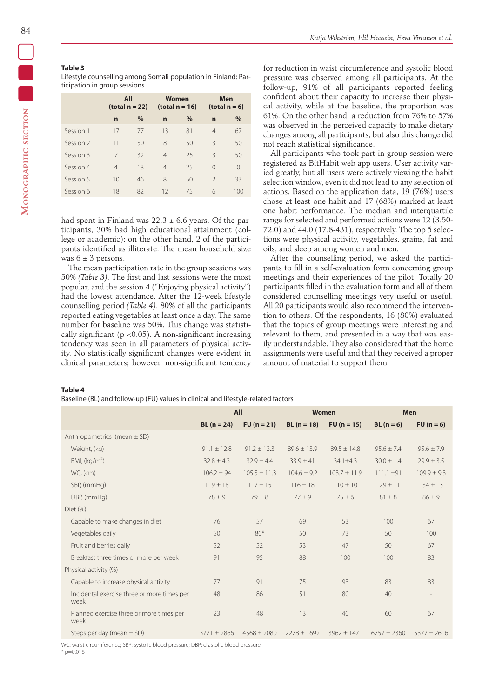## **Table 3**

Lifestyle counselling among Somali population in Finland: Participation in group sessions

|           | All<br>(total $n = 22$ ) |      |                | Women<br>(total $n = 16$ ) | Men<br>(total $n = 6$ ) |          |
|-----------|--------------------------|------|----------------|----------------------------|-------------------------|----------|
|           | $\overline{ }$           | $\%$ | $\overline{ }$ | $\%$                       | $\mathbf n$             | $\%$     |
| Session 1 | 17                       | 77   | 13             | 81                         | $\overline{4}$          | 67       |
| Session 2 | 11                       | 50   | 8              | 50                         | 3                       | 50       |
| Session 3 | 7                        | 32   | $\overline{4}$ | 25                         | $\mathcal{R}$           | 50       |
| Session 4 | $\overline{4}$           | 18   | $\overline{4}$ | 25                         | $\Omega$                | $\Omega$ |
| Session 5 | 10                       | 46   | 8              | 50                         | $\mathcal{P}$           | 33       |
| Session 6 | 18                       | 82   | 12             | 75                         | 6                       | 100      |

had spent in Finland was  $22.3 \pm 6.6$  years. Of the participants, 30% had high educational attainment (college or academic); on the other hand, 2 of the participants identified as illiterate. The mean household size was  $6 \pm 3$  persons.

The mean participation rate in the group sessions was 50% *(Table 3)*. The first and last sessions were the most popular, and the session 4 ("Enjoying physical activity") had the lowest attendance. After the 12-week lifestyle counselling period *(Table 4)*, 80% of all the participants reported eating vegetables at least once a day. The same number for baseline was 50%. This change was statistically significant ( $p$  <0.05). A non-significant increasing tendency was seen in all parameters of physical activity. No statistically significant changes were evident in clinical parameters; however, non-significant tendency

#### **Table 4**

Baseline (BL) and follow-up (FU) values in clinical and lifestyle-related factors

for reduction in waist circumference and systolic blood pressure was observed among all participants. At the follow-up, 91% of all participants reported feeling confident about their capacity to increase their physical activity, while at the baseline, the proportion was 61%. On the other hand, a reduction from 76% to 57% was observed in the perceived capacity to make dietary changes among all participants, but also this change did not reach statistical significance.

All participants who took part in group session were registered as BitHabit web app users. User activity varied greatly, but all users were actively viewing the habit selection window, even it did not lead to any selection of actions. Based on the application data, 19 (76%) users chose at least one habit and 17 (68%) marked at least one habit performance. The median and interquartile range for selected and performed actions were 12 (3.50- 72.0) and 44.0 (17.8-431), respectively. The top 5 selections were physical activity, vegetables, grains, fat and oils, and sleep among women and men.

After the counselling period, we asked the participants to fill in a self-evaluation form concerning group meetings and their experiences of the pilot. Totally 20 participants filled in the evaluation form and all of them considered counselling meetings very useful or useful. All 20 participants would also recommend the intervention to others. Of the respondents, 16 (80%) evaluated that the topics of group meetings were interesting and relevant to them, and presented in a way that was easily understandable. They also considered that the home assignments were useful and that they received a proper amount of material to support them.

|                                                     | All             |                  | Women           |                  | <b>Men</b>      |                 |
|-----------------------------------------------------|-----------------|------------------|-----------------|------------------|-----------------|-----------------|
|                                                     | $BL (n = 24)$   | $FU (n = 21)$    | $BL(n = 18)$    | $FU (n = 15)$    | $BL(n=6)$       | $FU(n=6)$       |
| Anthropometrics (mean $\pm$ SD)                     |                 |                  |                 |                  |                 |                 |
| Weight, (kg)                                        | $91.1 \pm 12.8$ | $91.2 \pm 13.3$  | $89.6 \pm 13.9$ | $89.5 \pm 14.8$  | $95.6 + 7.4$    | $95.6 \pm 7.9$  |
| BMI, (kg/m <sup>2</sup> )                           | $32.8 \pm 4.3$  | $32.9 \pm 4.4$   | $33.9 \pm 41$   | $34.1 \pm 4.3$   | $30.0 \pm 1.4$  | $29.9 \pm 3.5$  |
| WC, (cm)                                            | $106.2 \pm 94$  | $105.5 \pm 11.3$ | $104.6 \pm 9.2$ | $103.7 \pm 11.9$ | $111.1 \pm 91$  | $109.9 \pm 9.3$ |
| SBP, (mmHg)                                         | $119 \pm 18$    | $117 \pm 15$     | $116 \pm 18$    | $110 \pm 10$     | $129 + 11$      | $134 \pm 13$    |
| DBP, (mmHg)                                         | $78 + 9$        | $79 \pm 8$       | $77 \pm 9$      | $75 + 6$         | $81 \pm 8$      | $86 \pm 9$      |
| $Diet$ $(\%)$                                       |                 |                  |                 |                  |                 |                 |
| Capable to make changes in diet                     | 76              | 57               | 69              | 53               | 100             | 67              |
| Vegetables daily                                    | 50              | $80*$            | 50              | 73               | 50              | 100             |
| Fruit and berries daily                             | 52              | 52               | 53              | 47               | 50              | 67              |
| Breakfast three times or more per week              | 91              | 95               | 88              | 100              | 100             | 83              |
| Physical activity (%)                               |                 |                  |                 |                  |                 |                 |
| Capable to increase physical activity               | 77              | 91               | 75              | 93               | 83              | 83              |
| Incidental exercise three or more times per<br>week | 48              | 86               | 51              | 80               | 40              |                 |
| Planned exercise three or more times per<br>week    | 23              | 48               | 13              | 40               | 60              | 67              |
| Steps per day (mean $\pm$ SD)                       | $3771 \pm 2866$ | $4568 \pm 2080$  | $2278 + 1692$   | $3962 \pm 1471$  | $6757 \pm 2360$ | $5377 + 2616$   |

WC: waist circumference; SBP: systolic blood pressure; DBP: diastolic blood pressure  $*$  p=0.016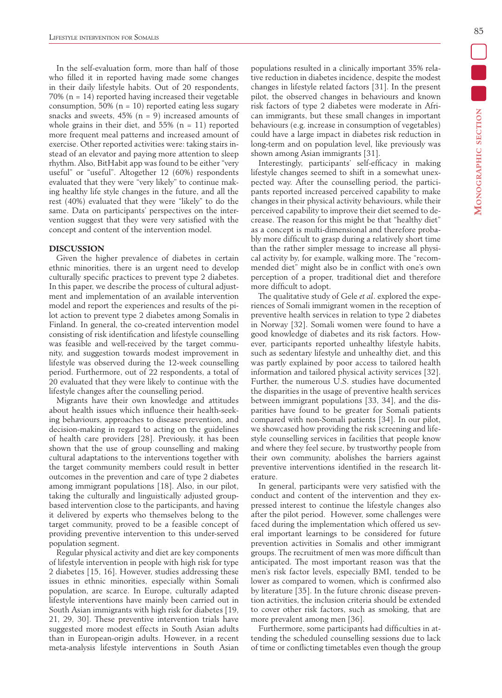In the self-evaluation form, more than half of those who filled it in reported having made some changes in their daily lifestyle habits. Out of 20 respondents,  $70\%$  (n = 14) reported having increased their vegetable consumption, 50% ( $n = 10$ ) reported eating less sugary snacks and sweets,  $45\%$  (n = 9) increased amounts of whole grains in their diet, and  $55\%$  (n = 11) reported more frequent meal patterns and increased amount of exercise. Other reported activities were: taking stairs instead of an elevator and paying more attention to sleep rhythm. Also, BitHabit app was found to be either "very useful" or "useful". Altogether 12 (60%) respondents evaluated that they were "very likely" to continue making healthy life style changes in the future, and all the rest (40%) evaluated that they were "likely" to do the same. Data on participants' perspectives on the intervention suggest that they were very satisfied with the concept and content of the intervention model.

#### **DISCUSSION**

Given the higher prevalence of diabetes in certain ethnic minorities, there is an urgent need to develop culturally specific practices to prevent type 2 diabetes. In this paper, we describe the process of cultural adjustment and implementation of an available intervention model and report the experiences and results of the pilot action to prevent type 2 diabetes among Somalis in Finland. In general, the co-created intervention model consisting of risk identification and lifestyle counselling was feasible and well-received by the target community, and suggestion towards modest improvement in lifestyle was observed during the 12-week counselling period. Furthermore, out of 22 respondents, a total of 20 evaluated that they were likely to continue with the lifestyle changes after the counselling period.

Migrants have their own knowledge and attitudes about health issues which influence their health-seeking behaviours, approaches to disease prevention, and decision-making in regard to acting on the guidelines of health care providers [28]. Previously, it has been shown that the use of group counselling and making cultural adaptations to the interventions together with the target community members could result in better outcomes in the prevention and care of type 2 diabetes among immigrant populations [18]. Also, in our pilot, taking the culturally and linguistically adjusted groupbased intervention close to the participants, and having it delivered by experts who themselves belong to the target community, proved to be a feasible concept of providing preventive intervention to this under-served population segment.

Regular physical activity and diet are key components of lifestyle intervention in people with high risk for type 2 diabetes [15, 16]. However, studies addressing these issues in ethnic minorities, especially within Somali population, are scarce. In Europe, culturally adapted lifestyle interventions have mainly been carried out in South Asian immigrants with high risk for diabetes [19, 21, 29, 30]. These preventive intervention trials have suggested more modest effects in South Asian adults than in European-origin adults. However, in a recent meta-analysis lifestyle interventions in South Asian populations resulted in a clinically important 35% relative reduction in diabetes incidence, despite the modest changes in lifestyle related factors [31]. In the present pilot, the observed changes in behaviours and known risk factors of type 2 diabetes were moderate in African immigrants, but these small changes in important behaviours (e.g. increase in consumption of vegetables) could have a large impact in diabetes risk reduction in long-term and on population level, like previously was shown among Asian immigrants [31].

Interestingly, participants' self-efficacy in making lifestyle changes seemed to shift in a somewhat unexpected way. After the counselling period, the participants reported increased perceived capability to make changes in their physical activity behaviours, while their perceived capability to improve their diet seemed to decrease. The reason for this might be that "healthy diet" as a concept is multi-dimensional and therefore probably more difficult to grasp during a relatively short time than the rather simpler message to increase all physical activity by, for example, walking more. The "recommended diet" might also be in conflict with one's own perception of a proper, traditional diet and therefore more difficult to adopt.

The qualitative study of Gele *et al*. explored the experiences of Somali immigrant women in the reception of preventive health services in relation to type 2 diabetes in Norway [32]. Somali women were found to have a good knowledge of diabetes and its risk factors. However, participants reported unhealthy lifestyle habits, such as sedentary lifestyle and unhealthy diet, and this was partly explained by poor access to tailored health information and tailored physical activity services [32]. Further, the numerous U.S. studies have documented the disparities in the usage of preventive health services between immigrant populations [33, 34], and the disparities have found to be greater for Somali patients compared with non-Somali patients [34]. In our pilot, we showcased how providing the risk screening and lifestyle counselling services in facilities that people know and where they feel secure, by trustworthy people from their own community, abolishes the barriers against preventive interventions identified in the research literature.

In general, participants were very satisfied with the conduct and content of the intervention and they expressed interest to continue the lifestyle changes also after the pilot period. However, some challenges were faced during the implementation which offered us several important learnings to be considered for future prevention activities in Somalis and other immigrant groups. The recruitment of men was more difficult than anticipated. The most important reason was that the men's risk factor levels, especially BMI, tended to be lower as compared to women, which is confirmed also by literature [35]. In the future chronic disease prevention activities, the inclusion criteria should be extended to cover other risk factors, such as smoking, that are more prevalent among men [36].

Furthermore, some participants had difficulties in attending the scheduled counselling sessions due to lack of time or conflicting timetables even though the group Ξ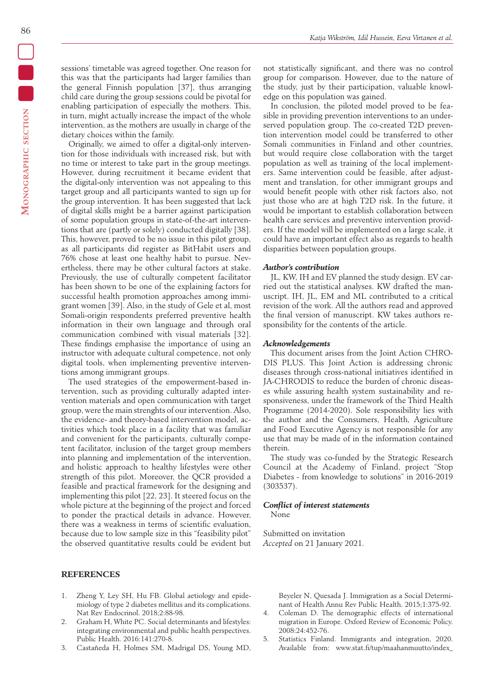86

sessions' timetable was agreed together. One reason for this was that the participants had larger families than the general Finnish population [37], thus arranging child care during the group sessions could be pivotal for enabling participation of especially the mothers. This, in turn, might actually increase the impact of the whole intervention, as the mothers are usually in charge of the dietary choices within the family.

Originally, we aimed to offer a digital-only intervention for those individuals with increased risk, but with no time or interest to take part in the group meetings. However, during recruitment it became evident that the digital-only intervention was not appealing to this target group and all participants wanted to sign up for the group intervention. It has been suggested that lack of digital skills might be a barrier against participation of some population groups in state-of-the-art interventions that are (partly or solely) conducted digitally [38]. This, however, proved to be no issue in this pilot group, as all participants did register as BitHabit users and 76% chose at least one healthy habit to pursue. Nevertheless, there may be other cultural factors at stake. Previously, the use of culturally competent facilitator has been shown to be one of the explaining factors for successful health promotion approaches among immigrant women [39]. Also, in the study of Gele et al, most Somali-origin respondents preferred preventive health information in their own language and through oral communication combined with visual materials [32]. These findings emphasise the importance of using an instructor with adequate cultural competence, not only digital tools, when implementing preventive interventions among immigrant groups.

The used strategies of the empowerment-based intervention, such as providing culturally adapted intervention materials and open communication with target group, were the main strenghts of our intervention. Also, the evidence- and theory-based intervention model, activities which took place in a facility that was familiar and convenient for the participants, culturally competent facilitator, inclusion of the target group members into planning and implementation of the intervention, and holistic approach to healthy lifestyles were other strength of this pilot. Moreover, the QCR provided a feasible and practical framework for the designing and implementing this pilot [22, 23]. It steered focus on the whole picture at the beginning of the project and forced to ponder the practical details in advance. However, there was a weakness in terms of scientific evaluation, because due to low sample size in this "feasibility pilot" the observed quantitative results could be evident but

- 1. Zheng Y, Ley SH, Hu FB. Global aetiology and epidemiology of type 2 diabetes mellitus and its complications. Nat Rev Endocrinol. 2018;2:88-98.
- 2. Graham H, White PC. Social determinants and lifestyles: integrating environmental and public health perspectives. Public Health. 2016:141:270-8.
- 3. Castañeda H, Holmes SM, Madrigal DS, Young MD,

not statistically significant, and there was no control group for comparison. However, due to the nature of the study, just by their participation, valuable knowledge on this population was gained.

In conclusion, the piloted model proved to be feasible in providing prevention interventions to an underserved population group. The co-created T2D prevention intervention model could be transferred to other Somali communities in Finland and other countries, but would require close collaboration with the target population as well as training of the local implementers. Same intervention could be feasible, after adjustment and translation, for other immigrant groups and would benefit people with other risk factors also, not just those who are at high T2D risk. In the future, it would be important to establish collaboration between health care services and preventive intervention providers. If the model will be implemented on a large scale, it could have an important effect also as regards to health disparities between population groups.

#### *Author's contribution*

JL, KW, IH and EV planned the study design. EV carried out the statistical analyses. KW drafted the manuscript. IH, JL, EM and ML contributed to a critical revision of the work. All the authors read and approved the final version of manuscript. KW takes authors responsibility for the contents of the article.

#### *Acknowledgements*

This document arises from the Joint Action CHRO-DIS PLUS. This Joint Action is addressing chronic diseases through cross-national initiatives identified in IA-CHRODIS to reduce the burden of chronic diseases while assuring health system sustainability and responsiveness, under the framework of the Third Health Programme (2014-2020). Sole responsibility lies with the author and the Consumers, Health, Agriculture and Food Executive Agency is not responsible for any use that may be made of in the information contained therein.

The study was co-funded by the Strategic Research Council at the Academy of Finland, project "Stop Diabetes - from knowledge to solutions" in 2016-2019 (303537).

## *Conflict of interest statements*

None

Submitted on invitation *Accepted* on 21 January 2021.

*Katja Wikström, Idil Hussein, Eeva Virtanen et al.*

Beyeler N, Quesada J. Immigration as a Social Determinant of Health Annu Rev Public Health. 2015;1:375-92.

- 4. Coleman D. The demographic effects of international migration in Europe. Oxford Review of Economic Policy. 2008:24:452-76.
- 5. Statistics Finland. Immigrants and integration, 2020. Available from: www.stat.fi/tup/maahanmuutto/index\_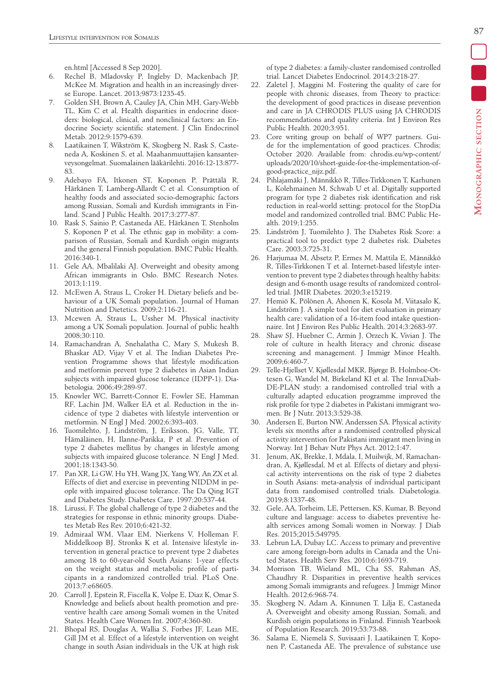en.html [Accessed 8 Sep 2020].

- 6. Rechel B, Mladovsky P, Ingleby D, Mackenbach JP, McKee M. Migration and health in an increasingly diverse Europe. Lancet. 2013;9873:1235-45.
- 7. Golden SH, Brown A, Cauley JA, Chin MH, Gary-Webb TL, Kim C et al. Health disparities in endocrine disorders: biological, clinical, and nonclinical factors: an Endocrine Society scientific statement. J Clin Endocrinol Metab. 2012;9:1579-639.
- 8. Laatikainen T, Wikström K, Skogberg N, Rask S, Casteneda A, Koskinen S, et al. Maahanmuuttajien kansanterveysongelmat. Suomalainen lääkärilehti. 2016:12-13:877- 83.
- 9. Adebayo FA, Itkonen ST, Koponen P, Prättälä R, Härkänen T, Lamberg-Allardt C et al. Consumption of healthy foods and associated socio-demographic factors among Russian, Somali and Kurdish immigrants in Finland. Scand J Public Health. 2017;3:277-87.
- 10. Rask S, Sainio P, Castaneda AE, Härkänen T, Stenholm S, Koponen P et al. The ethnic gap in mobility: a comparison of Russian, Somali and Kurdish origin migrants and the general Finnish population. BMC Public Health. 2016:340-1.
- 11. Gele AA, Mbalilaki AJ. Overweight and obesity among African immigrants in Oslo. BMC Research Notes. 2013;1:119.
- 12. McEwen A, Straus L, Croker H. Dietary beliefs and behaviour of a UK Somali population. Journal of Human Nutrition and Dietetics. 2009;2:116-21.
- 13. Mcewen A, Straus L, Ussher M. Physical inactivity among a UK Somali population. Journal of public health 2008;30:110.
- 14. Ramachandran A, Snehalatha C, Mary S, Mukesh B, Bhaskar AD, Vijay V et al. The Indian Diabetes Prevention Programme shows that lifestyle modification and metformin prevent type 2 diabetes in Asian Indian subjects with impaired glucose tolerance (IDPP-1). Diabetologia. 2006;49:289-97.
- 15. Knowler WC, Barrett-Connor E, Fowler SE, Hamman RF, Lachin JM, Walker EA et al. Reduction in the incidence of type 2 diabetes with lifestyle intervention or metformin. N Engl J Med. 2002;6:393-403.
- 16. Tuomilehto, J, Lindström, J, Eriksson, JG, Valle, TT, Hämäläinen, H, Ilanne-Parikka, P et al. Prevention of type 2 diabetes mellitus by changes in lifestyle among subjects with impaired glucose tolerance. N Engl J Med. 2001;18:1343-50.
- 17. Pan XR, Li GW, Hu YH, Wang JX, Yang WY, An ZX et al. Effects of diet and exercise in preventing NIDDM in people with impaired glucose tolerance. The Da Qing IGT and Diabetes Study. Diabetes Care. 1997;20:537-44.
- 18. Lirussi, F. The global challenge of type 2 diabetes and the strategies for response in ethnic minority groups. Diabetes Metab Res Rev. 2010;6:421-32.
- 19. Admiraal WM, Vlaar EM, Nierkens V, Holleman F, Middelkoop BJ, Stronks K et al. Intensive lifestyle intervention in general practice to prevent type 2 diabetes among 18 to 60-year-old South Asians: 1-year effects on the weight status and metabolic profile of participants in a randomized controlled trial. PLoS One. 2013;7:e68605.
- 20. Carroll J, Epstein R, Fiscella K, Volpe E, Diaz K, Omar S. Knowledge and beliefs about health promotion and preventive health care among Somali women in the United States. Health Care Women Int. 2007;4:360-80.
- 21. Bhopal RS, Douglas A, Wallia S, Forbes JF, Lean ME, Gill JM et al. Effect of a lifestyle intervention on weight change in south Asian individuals in the UK at high risk

of type 2 diabetes: a family-cluster randomised controlled trial. Lancet Diabetes Endocrinol. 2014;3:218-27.

- 22. Zaletel J, Maggini M. Fostering the quality of care for people with chronic diseases, from Theory to practice: the development of good practices in disease prevention and care in JA CHRODIS PLUS using JA CHRODIS recommendations and quality criteria. Int J Environ Res Public Health. 2020;3:951.
- 23. Core writing group on behalf of WP7 partners. Guide for the implementation of good practices. Chrodis; October 2020. Available from: chrodis.eu/wp-content/ uploads/2020/10/short-guide-for-the-implementation-ofgood-practice\_nijz.pdf.
- 24. Pihlajamäki J, Männikkö R, Tilles-Tirkkonen T, Karhunen L, Kolehmainen M, Schwab U et al. Digitally supported program for type 2 diabetes risk identification and risk reduction in real-world setting: protocol for the StopDia model and randomized controlled trial. BMC Public Health. 2019;1:255.
- 25. Lindström J, Tuomilehto J. The Diabetes Risk Score: a practical tool to predict type 2 diabetes risk. Diabetes Care. 2003;3:725-31.
- 26. Harjumaa M, Absetz P, Ermes M, Mattila E, Männikkö R, Tilles-Tirkkonen T et al. Internet-based lifestyle intervention to prevent type 2 diabetes through healthy habits: design and 6-month usage results of randomized controlled trial. JMIR Diabetes. 2020;3:e15219.
- 27. Hemiö K, Pölönen A, Ahonen K, Kosola M, Viitasalo K, Lindström J. A simple tool for diet evaluation in primary health care: validation of a 16-item food intake questionnaire. Int J Environ Res Public Health. 2014;3:2683-97.
- 28. Shaw SJ, Huebner C, Armin J, Orzech K, Vivian J. The role of culture in health literacy and chronic disease screening and management. J Immigr Minor Health. 2009;6:460-7.
- 29. Telle-Hjellset V, Kjøllesdal MKR, Bjørge B, Holmboe-Ottesen G, Wandel M, Birkeland KI et al. The InnvaDiab-DE-PLAN study: a randomised controlled trial with a culturally adapted education programme improved the risk profile for type 2 diabetes in Pakistani immigrant women. Br J Nutr. 2013;3:529-38.
- 30. Andersen E, Burton NW, Anderssen SA. Physical activity levels six months after a randomised controlled physical activity intervention for Pakistani immigrant men living in Norway. Int J Behav Nutr Phys Act. 2012;1:47.
- 31. Jenum, AK, Brekke, I, Mdala, I, Muilwijk, M, Ramachandran, A, Kjøllesdal, M et al. Effects of dietary and physical activity interventions on the risk of type 2 diabetes in South Asians: meta-analysis of individual participant data from randomised controlled trials. Diabetologia. 2019;8:1337-48.
- 32. Gele, AA, Torheim, LE, Pettersen, KS, Kumar, B. Beyond culture and language: access to diabetes preventive health services among Somali women in Norway. J Diab Res. 2015;2015:549795.
- 33. Lebrun LA, Dubay LC. Access to primary and preventive care among foreign-born adults in Canada and the United States. Health Serv Res. 2010;6:1693-719.
- 34. Morrison TB, Wieland ML, Cha SS, Rahman AS, Chaudhry R. Disparities in preventive health services among Somali immigrants and refugees. J Immigr Minor Health. 2012;6:968-74.
- 35. Skogberg N, Adam A, Kinnunen T, Lilja E, Castaneda A. Overweight and obesity among Russian, Somali, and Kurdish origin populations in Finland. Finnish Yearbook of Population Research. 2019;53:73-88.
- 36. Salama E, Niemelä S, Suvisaari J, Laatikainen T, Koponen P, Castaneda AE. The prevalence of substance use